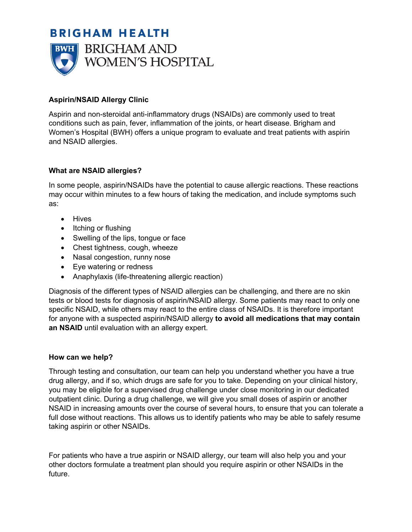# **BRIGHAM HEALTH**



## **Aspirin/NSAID Allergy Clinic**

Aspirin and non-steroidal anti-inflammatory drugs (NSAIDs) are commonly used to treat conditions such as pain, fever, inflammation of the joints, or heart disease. Brigham and Women's Hospital (BWH) offers a unique program to evaluate and treat patients with aspirin and NSAID allergies.

### **What are NSAID allergies?**

In some people, aspirin/NSAIDs have the potential to cause allergic reactions. These reactions may occur within minutes to a few hours of taking the medication, and include symptoms such as:

- Hives
- Itching or flushing
- Swelling of the lips, tongue or face
- Chest tightness, cough, wheeze
- Nasal congestion, runny nose
- Eye watering or redness
- Anaphylaxis (life-threatening allergic reaction)

Diagnosis of the different types of NSAID allergies can be challenging, and there are no skin tests or blood tests for diagnosis of aspirin/NSAID allergy. Some patients may react to only one specific NSAID, while others may react to the entire class of NSAIDs. It is therefore important for anyone with a suspected aspirin/NSAID allergy **to avoid all medications that may contain an NSAID** until evaluation with an allergy expert.

## **How can we help?**

Through testing and consultation, our team can help you understand whether you have a true drug allergy, and if so, which drugs are safe for you to take. Depending on your clinical history, you may be eligible for a supervised drug challenge under close monitoring in our dedicated outpatient clinic. During a drug challenge, we will give you small doses of aspirin or another NSAID in increasing amounts over the course of several hours, to ensure that you can tolerate a full dose without reactions. This allows us to identify patients who may be able to safely resume taking aspirin or other NSAIDs.

For patients who have a true aspirin or NSAID allergy, our team will also help you and your other doctors formulate a treatment plan should you require aspirin or other NSAIDs in the future.